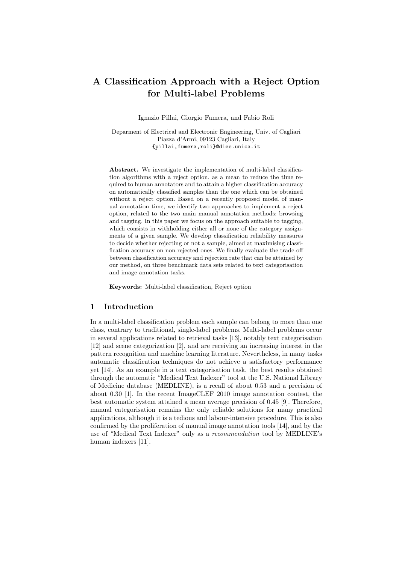# A Classification Approach with a Reject Option for Multi-label Problems

Ignazio Pillai, Giorgio Fumera, and Fabio Roli

Deparment of Electrical and Electronic Engineering, Univ. of Cagliari Piazza d'Armi, 09123 Cagliari, Italy {pillai,fumera,roli}@diee.unica.it

Abstract. We investigate the implementation of multi-label classification algorithms with a reject option, as a mean to reduce the time required to human annotators and to attain a higher classification accuracy on automatically classified samples than the one which can be obtained without a reject option. Based on a recently proposed model of manual annotation time, we identify two approaches to implement a reject option, related to the two main manual annotation methods: browsing and tagging. In this paper we focus on the approach suitable to tagging, which consists in withholding either all or none of the category assignments of a given sample. We develop classification reliability measures to decide whether rejecting or not a sample, aimed at maximising classification accuracy on non-rejected ones. We finally evaluate the trade-off between classification accuracy and rejection rate that can be attained by our method, on three benchmark data sets related to text categorisation and image annotation tasks.

Keywords: Multi-label classification, Reject option

# 1 Introduction

In a multi-label classification problem each sample can belong to more than one class, contrary to traditional, single-label problems. Multi-label problems occur in several applications related to retrieval tasks [13], notably text categorisation [12] and scene categorization [2], and are receiving an increasing interest in the pattern recognition and machine learning literature. Nevertheless, in many tasks automatic classification techniques do not achieve a satisfactory performance yet [14]. As an example in a text categorisation task, the best results obtained through the automatic "Medical Text Indexer" tool at the U.S. National Library of Medicine database (MEDLINE), is a recall of about 0.53 and a precision of about 0.30 [1]. In the recent ImageCLEF 2010 image annotation contest, the best automatic system attained a mean average precision of 0.45 [9]. Therefore, manual categorisation remains the only reliable solutions for many practical applications, although it is a tedious and labour-intensive procedure. This is also confirmed by the proliferation of manual image annotation tools [14], and by the use of "Medical Text Indexer" only as a recommendation tool by MEDLINE's human indexers [11].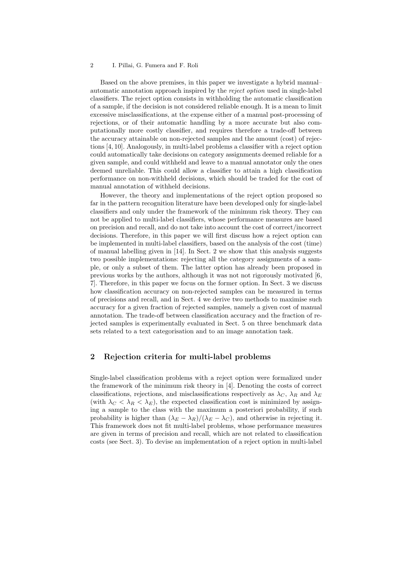Based on the above premises, in this paper we investigate a hybrid manual– automatic annotation approach inspired by the reject option used in single-label classifiers. The reject option consists in withholding the automatic classification of a sample, if the decision is not considered reliable enough. It is a mean to limit excessive misclassifications, at the expense either of a manual post-processing of rejections, or of their automatic handling by a more accurate but also computationally more costly classifier, and requires therefore a trade-off between the accuracy attainable on non-rejected samples and the amount (cost) of rejections [4, 10]. Analogously, in multi-label problems a classifier with a reject option could automatically take decisions on category assignments deemed reliable for a given sample, and could withheld and leave to a manual annotator only the ones deemed unreliable. This could allow a classifier to attain a high classification performance on non-withheld decisions, which should be traded for the cost of manual annotation of withheld decisions.

However, the theory and implementations of the reject option proposed so far in the pattern recognition literature have been developed only for single-label classifiers and only under the framework of the minimum risk theory. They can not be applied to multi-label classifiers, whose performance measures are based on precision and recall, and do not take into account the cost of correct/incorrect decisions. Therefore, in this paper we will first discuss how a reject option can be implemented in multi-label classifiers, based on the analysis of the cost (time) of manual labelling given in [14]. In Sect. 2 we show that this analysis suggests two possible implementations: rejecting all the category assignments of a sample, or only a subset of them. The latter option has already been proposed in previous works by the authors, although it was not not rigorously motivated [6, 7]. Therefore, in this paper we focus on the former option. In Sect. 3 we discuss how classification accuracy on non-rejected samples can be measured in terms of precisions and recall, and in Sect. 4 we derive two methods to maximise such accuracy for a given fraction of rejected samples, namely a given cost of manual annotation. The trade-off between classification accuracy and the fraction of rejected samples is experimentally evaluated in Sect. 5 on three benchmark data sets related to a text categorisation and to an image annotation task.

# 2 Rejection criteria for multi-label problems

Single-label classification problems with a reject option were formalized under the framework of the minimum risk theory in [4]. Denoting the costs of correct classifications, rejections, and misclassifications respectively as  $\lambda_C$ ,  $\lambda_R$  and  $\lambda_E$ (with  $\lambda_C < \lambda_R < \lambda_E$ ), the expected classification cost is minimized by assigning a sample to the class with the maximum a posteriori probability, if such probability is higher than  $(\lambda_E - \lambda_R)/(\lambda_E - \lambda_C)$ , and otherwise in rejecting it. This framework does not fit multi-label problems, whose performance measures are given in terms of precision and recall, which are not related to classification costs (see Sect. 3). To devise an implementation of a reject option in multi-label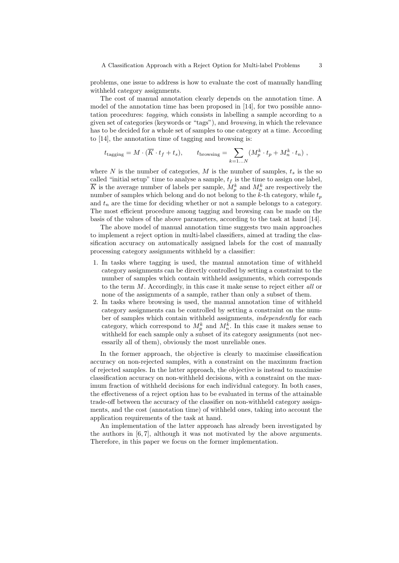## A Classification Approach with a Reject Option for Multi-label Problems 3

problems, one issue to address is how to evaluate the cost of manually handling withheld category assignments.

The cost of manual annotation clearly depends on the annotation time. A model of the annotation time has been proposed in [14], for two possible annotation procedures: tagging, which consists in labelling a sample according to a given set of categories (keywords or "tags"), and browsing, in which the relevance has to be decided for a whole set of samples to one category at a time. According to [14], the annotation time of tagging and browsing is:

$$
t_{\text{tagging}} = M \cdot (\overline{K} \cdot t_f + t_s), \qquad t_{\text{browsing}} = \sum_{k=1...N} (M_p^k \cdot t_p + M_n^k \cdot t_n) ,
$$

where  $N$  is the number of categories,  $M$  is the number of samples,  $t_s$  is the so called "initial setup" time to analyse a sample,  $t_f$  is the time to assign one label,  $\overline{K}$  is the average number of labels per sample,  $M_p^k$  and  $M_n^k$  are respectively the number of samples which belong and do not belong to the  $k$ -th category, while  $t_p$ and  $t_n$  are the time for deciding whether or not a sample belongs to a category. The most efficient procedure among tagging and browsing can be made on the basis of the values of the above parameters, according to the task at hand [14].

The above model of manual annotation time suggests two main approaches to implement a reject option in multi-label classifiers, aimed at trading the classification accuracy on automatically assigned labels for the cost of manually processing category assignments withheld by a classifier:

- 1. In tasks where tagging is used, the manual annotation time of withheld category assignments can be directly controlled by setting a constraint to the number of samples which contain withheld assignments, which corresponds to the term M. Accordingly, in this case it make sense to reject either all or none of the assignments of a sample, rather than only a subset of them.
- 2. In tasks where browsing is used, the manual annotation time of withheld category assignments can be controlled by setting a constraint on the number of samples which contain withheld assignments, independently for each category, which correspond to  $M_p^k$  and  $M_n^k$ . In this case it makes sense to withheld for each sample only a subset of its category assignments (not necessarily all of them), obviously the most unreliable ones.

In the former approach, the objective is clearly to maximise classification accuracy on non-rejected samples, with a constraint on the maximum fraction of rejected samples. In the latter approach, the objective is instead to maximise classification accuracy on non-withheld decisions, with a constraint on the maximum fraction of withheld decisions for each individual category. In both cases, the effectiveness of a reject option has to be evaluated in terms of the attainable trade-off between the accuracy of the classifier on non-withheld category assignments, and the cost (annotation time) of withheld ones, taking into account the application requirements of the task at hand.

An implementation of the latter approach has already been investigated by the authors in [6, 7], although it was not motivated by the above arguments. Therefore, in this paper we focus on the former implementation.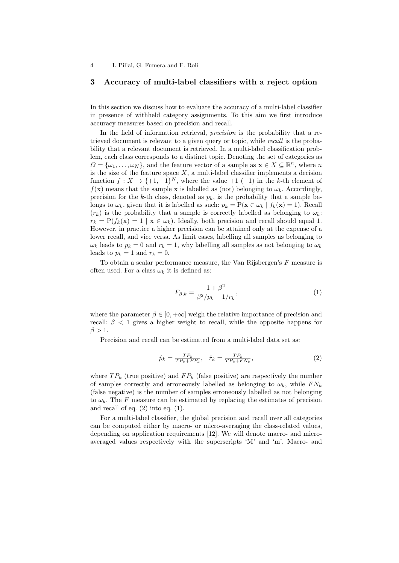# 3 Accuracy of multi-label classifiers with a reject option

In this section we discuss how to evaluate the accuracy of a multi-label classifier in presence of withheld category assignments. To this aim we first introduce accuracy measures based on precision and recall.

In the field of information retrieval, *precision* is the probability that a retrieved document is relevant to a given query or topic, while recall is the probability that a relevant document is retrieved. In a multi-label classification problem, each class corresponds to a distinct topic. Denoting the set of categories as  $\Omega = {\omega_1, \ldots, \omega_N}$ , and the feature vector of a sample as  $\mathbf{x} \in X \subseteq \mathbb{R}^n$ , where n is the size of the feature space  $X$ , a multi-label classifier implements a decision function  $f: X \to \{+1, -1\}^N$ , where the value  $+1$  (-1) in the k-th element of  $f(\mathbf{x})$  means that the sample **x** is labelled as (not) belonging to  $\omega_k$ . Accordingly, precision for the k-th class, denoted as  $p_k$ , is the probability that a sample belongs to  $\omega_k$ , given that it is labelled as such:  $p_k = P(\mathbf{x} \in \omega_k | f_k(\mathbf{x}) = 1)$ . Recall  $(r_k)$  is the probability that a sample is correctly labelled as belonging to  $\omega_k$ :  $r_k = P(f_k(\mathbf{x}) = 1 \mid \mathbf{x} \in \omega_k)$ . Ideally, both precision and recall should equal 1. However, in practice a higher precision can be attained only at the expense of a lower recall, and vice versa. As limit cases, labelling all samples as belonging to  $\omega_k$  leads to  $p_k = 0$  and  $r_k = 1$ , why labelling all samples as not belonging to  $\omega_k$ leads to  $p_k = 1$  and  $r_k = 0$ .

To obtain a scalar performance measure, the Van Rijsbergen's F measure is often used. For a class  $\omega_k$  it is defined as:

$$
F_{\beta,k} = \frac{1 + \beta^2}{\beta^2 / p_k + 1/r_k},\tag{1}
$$

where the parameter  $\beta \in [0, +\infty]$  weigh the relative importance of precision and recall:  $\beta$  < 1 gives a higher weight to recall, while the opposite happens for  $\beta > 1$ .

Precision and recall can be estimated from a multi-label data set as:

$$
\hat{p}_k = \frac{TP_k}{TP_k + FP_k}, \quad \hat{r}_k = \frac{TP_k}{TP_k + FN_k},\tag{2}
$$

where  $TP_k$  (true positive) and  $FP_k$  (false positive) are respectively the number of samples correctly and erroneously labelled as belonging to  $\omega_k$ , while  $FN_k$ (false negative) is the number of samples erroneously labelled as not belonging to  $\omega_k$ . The F measure can be estimated by replacing the estimates of precision and recall of eq.  $(2)$  into eq.  $(1)$ .

For a multi-label classifier, the global precision and recall over all categories can be computed either by macro- or micro-averaging the class-related values, depending on application requirements [12]. We will denote macro- and microaveraged values respectively with the superscripts 'M' and 'm'. Macro- and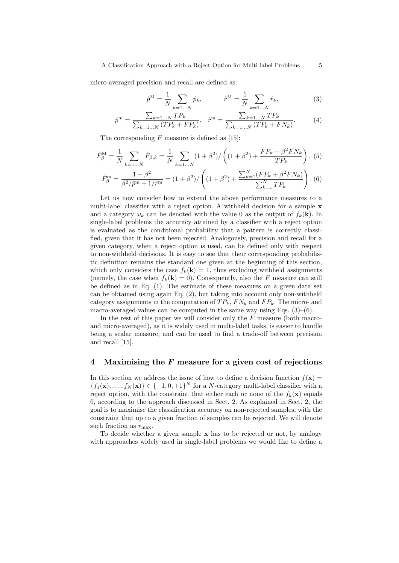micro-averaged precision and recall are defined as:

$$
\hat{p}^{\mathcal{M}} = \frac{1}{N} \sum_{k=1...N} \hat{p}_k, \qquad \hat{r}^{\mathcal{M}} = \frac{1}{N} \sum_{k=1...N} \hat{r}_k,
$$
\n(3)

$$
\hat{p}^{\mathbf{m}} = \frac{\sum_{k=1...N} TP_k}{\sum_{k=1...N} (TP_k + FP_k)}, \quad \hat{r}^{\mathbf{m}} = \frac{\sum_{k=1...N} TP_k}{\sum_{k=1...N} (TP_k + FN_k)}.
$$
 (4)

The corresponding  $F$  measure is defined as [15]:

$$
\hat{F}_{\beta}^{\mathcal{M}} = \frac{1}{N} \sum_{k=1...N} \hat{F}_{\beta,k} = \frac{1}{N} \sum_{k=1...N} (1+\beta^2) / \left( (1+\beta^2) + \frac{FP_k + \beta^2 FN_k}{TP_k} \right),
$$
 (5)

$$
\hat{F}_{\beta}^{\mathbf{m}} = \frac{1+\beta^2}{\beta^2/\hat{p}^{\mathbf{m}} + 1/\hat{r}^{\mathbf{m}}} = (1+\beta^2)/\left( (1+\beta^2) + \frac{\sum_{k=1}^{N} (FP_k + \beta^2 FN_k)}{\sum_{k=1}^{N} TP_k} \right). (6)
$$

Let us now consider how to extend the above performance measures to a multi-label classifier with a reject option. A withheld decision for a sample x and a category  $\omega_k$  can be denoted with the value 0 as the output of  $f_k(\mathbf{k})$ . In single-label problems the accuracy attained by a classifier with a reject option is evaluated as the conditional probability that a pattern is correctly classified, given that it has not been rejected. Analogously, precision and recall for a given category, when a reject option is used, can be defined only with respect to non-withheld decisions. It is easy to see that their corresponding probabilistic definition remains the standard one given at the beginning of this section, which only considers the case  $f_k(\mathbf{k}) = 1$ , thus excluding withheld assignments (namely, the case when  $f_k(\mathbf{k}) = 0$ ). Consequently, also the F measure can still be defined as in Eq. (1). The estimate of these measures on a given data set can be obtained using again Eq. (2), but taking into account only non-withheld category assignments in the computation of  $TP_k$ ,  $FN_k$  and  $FP_k$ . The micro- and macro-averaged values can be computed in the same way using Eqs.  $(3)-(6)$ .

In the rest of this paper we will consider only the  $F$  measure (both macroand micro-averaged), as it is widely used in multi-label tasks, is easier to handle being a scalar measure, and can be used to find a trade-off between precision and recall [15].

# 4 Maximising the  $F$  measure for a given cost of rejections

In this section we address the issue of how to define a decision function  $f(\mathbf{x}) =$  $\{f_1(\mathbf{x}),..., f_N(\mathbf{x})\} \in \{-1,0,+1\}^N$  for a *N*-category multi-label classifier with a reject option, with the constraint that either each or none of the  $f_k(\mathbf{x})$  equals 0, according to the approach discussed in Sect. 2. As explained in Sect. 2, the goal is to maximise the classification accuracy on non-rejected samples, with the constraint that up to a given fraction of samples can be rejected. We will denote such fraction as  $r_{\text{max}}$ .

To decide whether a given sample x has to be rejected or not, by analogy with approaches widely used in single-label problems we would like to define a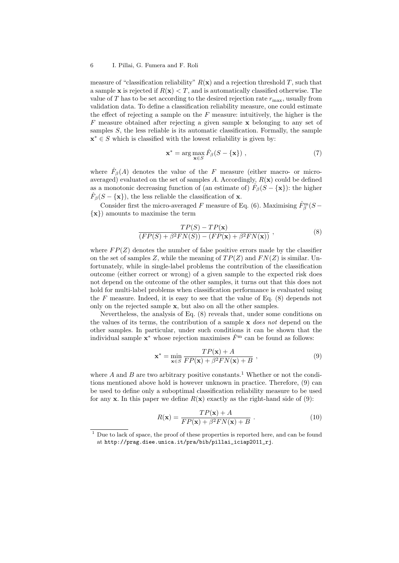measure of "classification reliability"  $R(x)$  and a rejection threshold T, such that a sample **x** is rejected if  $R(\mathbf{x}) < T$ , and is automatically classified otherwise. The value of T has to be set according to the desired rejection rate  $r_{\text{max}}$ , usually from validation data. To define a classification reliability measure, one could estimate the effect of rejecting a sample on the  $F$  measure: intuitively, the higher is the  $F$  measure obtained after rejecting a given sample  $x$  belonging to any set of samples S, the less reliable is its automatic classification. Formally, the sample  $\mathbf{x}^* \in S$  which is classified with the lowest reliability is given by:

$$
\mathbf{x}^* = \arg\max_{\mathbf{x} \in S} \hat{F}_{\beta}(S - \{\mathbf{x}\}) \tag{7}
$$

where  $\hat{F}_{\beta}(A)$  denotes the value of the F measure (either macro- or microaveraged) evaluated on the set of samples A. Accordingly,  $R(\mathbf{x})$  could be defined as a monotonic decreasing function of (an estimate of)  $\hat{F}_{\beta}(S - \{x\})$ : the higher  $\hat{F}_{\beta}(S - \{ \mathbf{x} \})$ , the less reliable the classification of **x**.

Consider first the micro-averaged F measure of Eq. (6). Maximising  $\hat{F}_{\beta}^{\text{m}}(S - )$  $\{x\}$  amounts to maximise the term

$$
\frac{TP(S) - TP(\mathbf{x})}{(FP(S) + \beta^2 FN(S)) - (FP(\mathbf{x}) + \beta^2 FN(\mathbf{x}))},
$$
\n(8)

where  $FP(Z)$  denotes the number of false positive errors made by the classifier on the set of samples Z, while the meaning of  $TP(Z)$  and  $FN(Z)$  is similar. Unfortunately, while in single-label problems the contribution of the classification outcome (either correct or wrong) of a given sample to the expected risk does not depend on the outcome of the other samples, it turns out that this does not hold for multi-label problems when classification performance is evaluated using the  $F$  measure. Indeed, it is easy to see that the value of Eq.  $(8)$  depends not only on the rejected sample  $x$ , but also on all the other samples.

Nevertheless, the analysis of Eq. (8) reveals that, under some conditions on the values of its terms, the contribution of a sample  $\bf{x}$  *does not* depend on the other samples. In particular, under such conditions it can be shown that the individual sample  $\mathbf{x}^*$  whose rejection maximises  $\hat{F}^{\text{m}}$  can be found as follows:

$$
\mathbf{x}^* = \min_{\mathbf{x} \in S} \frac{TP(\mathbf{x}) + A}{FP(\mathbf{x}) + \beta^2 FN(\mathbf{x}) + B},
$$
\n(9)

where  $A$  and  $B$  are two arbitrary positive constants.<sup>1</sup> Whether or not the conditions mentioned above hold is however unknown in practice. Therefore, (9) can be used to define only a suboptimal classification reliability measure to be used for any x. In this paper we define  $R(x)$  exactly as the right-hand side of (9):

$$
R(\mathbf{x}) = \frac{TP(\mathbf{x}) + A}{FP(\mathbf{x}) + \beta^2 FN(\mathbf{x}) + B} \tag{10}
$$

 $1$  Due to lack of space, the proof of these properties is reported here, and can be found at http://prag.diee.unica.it/pra/bib/pillai\_iciap2011\_rj.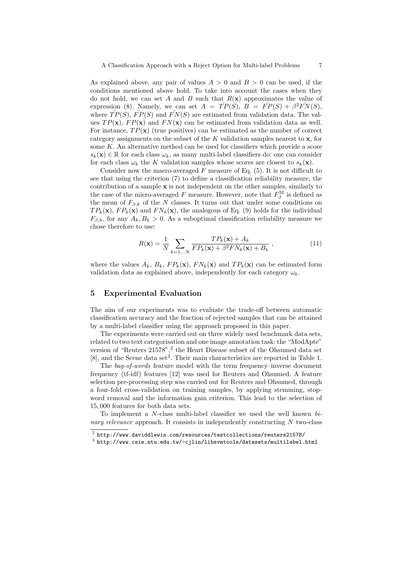As explained above, any pair of values  $A > 0$  and  $B > 0$  can be used, if the conditions mentioned above hold. To take into account the cases when they do not hold, we can set A and B such that  $R(x)$  approximates the value of expression (8). Namely, we can set  $A = \hat{TP}(S)$ ,  $B = \hat{FP}(S) + \beta^2 \hat{FN}(S)$ , where  $\hat{TP}(S)$ ,  $\hat{FP}(S)$  and  $\hat{FN}(S)$  are estimated from validation data. The values  $TP(\mathbf{x})$ ,  $FP(\mathbf{x})$  and  $FN(\mathbf{x})$  can be estimated from validation data as well. For instance,  $TP(\mathbf{x})$  (true positives) can be estimated as the number of correct category assignments on the subset of the  $K$  validation samples nearest to  $\bf{x}$ , for some K. An alternative method can be used for classifiers which provide a score  $s_k(\mathbf{x}) \in \mathbb{R}$  for each class  $\omega_k$ , as many multi-label classifiers do: one can consider for each class  $\omega_k$  the K validation samples whose scores are closest to  $s_k(\mathbf{x})$ .

Consider now the macro-averaged  $F$  measure of Eq.  $(5)$ . It is not difficult to see that using the criterion (7) to define a classification reliability measure, the contribution of a sample x is not independent on the other samples, similarly to the case of the micro-averaged F measure. However, note that  $F^{\rm M}_{\beta}$  is defined as the mean of  $F_{\beta,k}$  of the N classes. It turns out that under some conditions on  $TP_k(\mathbf{x})$ ,  $FP_k(\mathbf{x})$  and  $FN_k(\mathbf{x})$ , the analogous of Eq. (9) holds for the individual  $F_{\beta,k}$ , for any  $A_k, B_k > 0$ . As a suboptimal classification reliability measure we chose therefore to use:

$$
R(\mathbf{x}) = \frac{1}{N} \sum_{k=1...N} \frac{TP_k(\mathbf{x}) + A_k}{FP_k(\mathbf{x}) + \beta^2 FN_k(\mathbf{x}) + B_k} ,
$$
(11)

where the values  $A_k$ ,  $B_k$ ,  $FP_k(\mathbf{x})$ ,  $FN_k(\mathbf{x})$  and  $TP_k(\mathbf{x})$  can be estimated form validation data as explained above, independently for each category  $\omega_k$ .

# 5 Experimental Evaluation

The aim of our experiments was to evaluate the trade-off between automatic classification accuracy and the fraction of rejected samples that can be attained by a multi-label classifier using the approach proposed in this paper.

The experiments were carried out on three widely used benchmark data sets, related to two text categorisation and one image annotation task: the "ModApte" version of "Reuters  $21578$ ",  $2$ <sup>2</sup> the Heart Disease subset of the Ohsumed data set [8], and the Scene data set<sup>3</sup>. Their main characteristics are reported in Table 1.

The bag-of-words feature model with the term frequency–inverse document frequency (tf-idf) features [12] was used for Reuters and Ohsumed. A feature selection pre-processing step was carried out for Reuters and Ohsumed, through a four-fold cross-validation on training samples, by applying stemming, stopword removal and the information gain criterion. This lead to the selection of 15, 000 features for both data sets.

To implement a N-class multi-label classifier we used the well known binary relevance approach. It consists in independently constructing N two-class

 $^2$  http://www.daviddlewis.com/resources/testcollections/reuters21578/

 $^3$  http://www.csie.ntu.edu.tw/~cjlin/libsvmtools/datasets/multilabel.html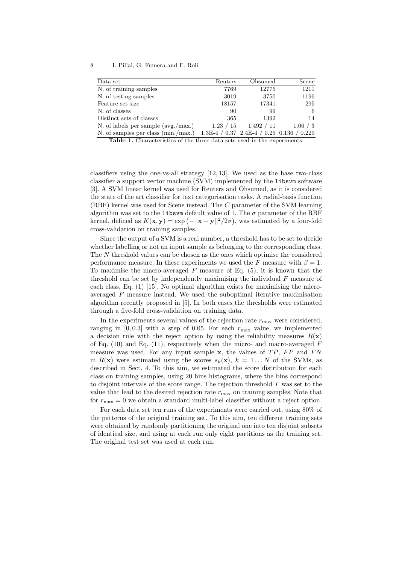| Data set                            | Reuters   | Ohsumed                                     | Scene    |
|-------------------------------------|-----------|---------------------------------------------|----------|
| N. of training samples              | 7769      | 12775                                       | 1211     |
| N. of testing samples               | 3019      | 3750                                        | 1196     |
| Feature set size                    | 18157     | 17341                                       | 295      |
| N. of classes                       | 90        | 99                                          | 6        |
| Distinct sets of classes            | 365       | 1392                                        | 14       |
| N. of labels per sample (avg./max.) | 1.23 / 15 | 1.492 / 11                                  | 1.06 / 3 |
| N. of samples per class (min./max.) |           | $1.3E-4 / 0.37$ 2.4E-4 / 0.25 0.136 / 0.229 |          |

Table 1. Characteristics of the three data sets used in the experiments.

classifiers using the one-vs-all strategy [12, 13]. We used as the base two-class classifier a support vector machine (SVM) implemented by the libsvm software [3]. A SVM linear kernel was used for Reuters and Ohsumed, as it is considered the state of the art classifier for text categorisation tasks. A radial-basis function (RBF) kernel was used for Scene instead. The C parameter of the SVM learning algorithm was set to the libsvm default value of 1. The  $\sigma$  parameter of the RBF kernel, defined as  $K(\mathbf{x}, \mathbf{y}) = \exp(-||\mathbf{x} - \mathbf{y}||^2/2\sigma)$ , was estimated by a four-fold cross-validation on training samples.

Since the output of a SVM is a real number, a threshold has to be set to decide whether labelling or not an input sample as belonging to the corresponding class. The N threshold values can be chosen as the ones which optimise the considered performance measure. In these experiments we used the F measure with  $\beta = 1$ . To maximise the macro-averaged  $F$  measure of Eq.  $(5)$ , it is known that the threshold can be set by independently maximising the individual  $F$  measure of each class, Eq. (1) [15]. No optimal algorithm exists for maximising the microaveraged F measure instead. We used the suboptimal iterative maximisation algorithm recently proposed in [5]. In both cases the thresholds were estimated through a five-fold cross-validation on training data.

In the experiments several values of the rejection rate  $r_{\text{max}}$  were considered, ranging in  $[0, 0.3]$  with a step of 0.05. For each  $r_{\text{max}}$  value, we implemented a decision rule with the reject option by using the reliability measures  $R(\mathbf{x})$ of Eq. (10) and Eq. (11), respectively when the micro- and macro-averaged  $F$ measure was used. For any input sample  $x$ , the values of  $TP$ ,  $FP$  and  $FN$ in  $R(\mathbf{x})$  were estimated using the scores  $s_k(\mathbf{x}), k = 1...N$  of the SVMs, as described in Sect. 4. To this aim, we estimated the score distribution for each class on training samples, using 20 bins histograms, where the bins correspond to disjoint intervals of the score range. The rejection threshold T was set to the value that lead to the desired rejection rate  $r_{\text{max}}$  on training samples. Note that for  $r_{\text{max}} = 0$  we obtain a standard multi-label classifier without a reject option.

For each data set ten runs of the experiments were carried out, using 80% of the patterns of the original training set. To this aim, ten different training sets were obtained by randomly partitioning the original one into ten disjoint subsets of identical size, and using at each run only eight partitions as the training set. The original test set was used at each run.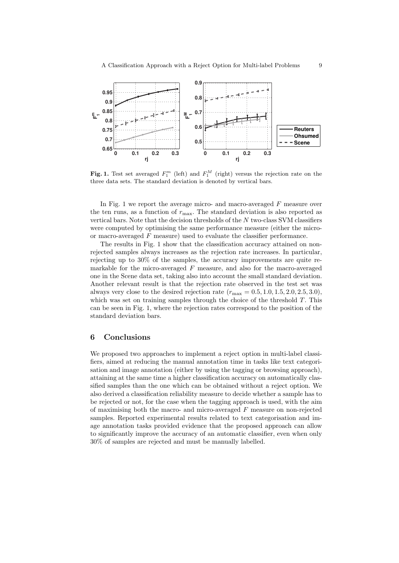

**Fig. 1.** Test set averaged  $F_1^m$  (left) and  $F_1^M$  (right) versus the rejection rate on the three data sets. The standard deviation is denoted by vertical bars.

In Fig. 1 we report the average micro- and macro-averaged  $F$  measure over the ten runs, as a function of  $r_{\text{max}}$ . The standard deviation is also reported as vertical bars. Note that the decision thresholds of the N two-class SVM classifiers were computed by optimising the same performance measure (either the microor macro-averaged  $F$  measure) used to evaluate the classifier performance.

The results in Fig. 1 show that the classification accuracy attained on nonrejected samples always increases as the rejection rate increases. In particular, rejecting up to 30% of the samples, the accuracy improvements are quite remarkable for the micro-averaged  $F$  measure, and also for the macro-averaged one in the Scene data set, taking also into account the small standard deviation. Another relevant result is that the rejection rate observed in the test set was always very close to the desired rejection rate  $(r_{\text{max}} = 0.5, 1.0, 1.5, 2.0, 2.5, 3.0)$ , which was set on training samples through the choice of the threshold  $T$ . This can be seen in Fig. 1, where the rejection rates correspond to the position of the standard deviation bars.

# 6 Conclusions

We proposed two approaches to implement a reject option in multi-label classifiers, aimed at reducing the manual annotation time in tasks like text categorisation and image annotation (either by using the tagging or browsing approach), attaining at the same time a higher classification accuracy on automatically classified samples than the one which can be obtained without a reject option. We also derived a classification reliability measure to decide whether a sample has to be rejected or not, for the case when the tagging approach is used, with the aim of maximising both the macro- and micro-averaged  $F$  measure on non-rejected samples. Reported experimental results related to text categorisation and image annotation tasks provided evidence that the proposed approach can allow to significantly improve the accuracy of an automatic classifier, even when only 30% of samples are rejected and must be manually labelled.